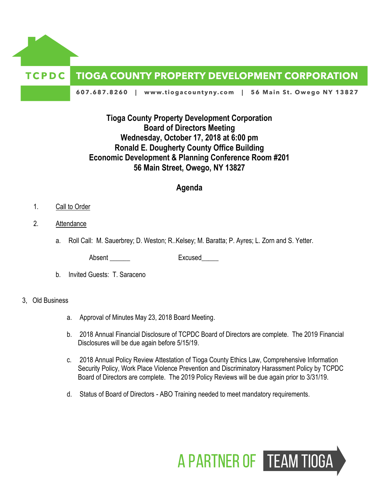

# **Tioga County Property Development Corporation Board of Directors Meeting Wednesday, October 17, 2018 at 6:00 pm Ronald E. Dougherty County Office Building Economic Development & Planning Conference Room #201 56 Main Street, Owego, NY 13827**

## **Agenda**

- 1. Call to Order
- 2. Attendance
	- a. Roll Call: M. Sauerbrey; D. Weston; R..Kelsey; M. Baratta; P. Ayres; L. Zorn and S. Yetter.

Absent Excused

b. Invited Guests: T. Saraceno

#### 3, Old Business

- a. Approval of Minutes May 23, 2018 Board Meeting.
- b. 2018 Annual Financial Disclosure of TCPDC Board of Directors are complete. The 2019 Financial Disclosures will be due again before 5/15/19.
- c. 2018 Annual Policy Review Attestation of Tioga County Ethics Law, Comprehensive Information Security Policy, Work Place Violence Prevention and Discriminatory Harassment Policy by TCPDC Board of Directors are complete. The 2019 Policy Reviews will be due again prior to 3/31/19.
- d. Status of Board of Directors ABO Training needed to meet mandatory requirements.